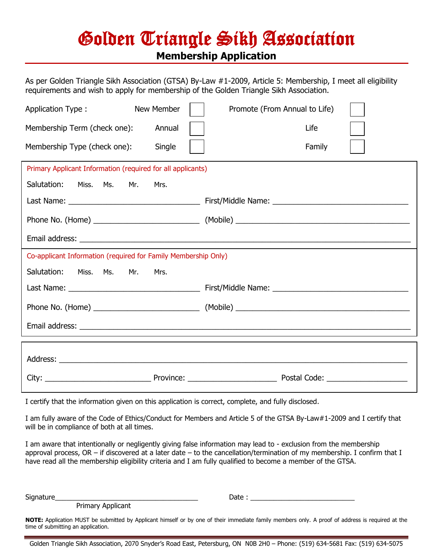## Golden Triangle Sikh Association **Membership Application**

As per Golden Triangle Sikh Association (GTSA) By-Law #1-2009, Article 5: Membership, I meet all eligibility requirements and wish to apply for membership of the Golden Triangle Sikh Association.

| Application Type:                                              | New Member | Promote (From Annual to Life) |  |  |
|----------------------------------------------------------------|------------|-------------------------------|--|--|
| Membership Term (check one):                                   | Annual     | Life                          |  |  |
| Membership Type (check one):                                   | Single     | Family                        |  |  |
| Primary Applicant Information (required for all applicants)    |            |                               |  |  |
| Salutation:<br>Miss.<br>Ms.<br>Mr.                             | Mrs.       |                               |  |  |
|                                                                |            |                               |  |  |
|                                                                |            |                               |  |  |
|                                                                |            |                               |  |  |
| Co-applicant Information (required for Family Membership Only) |            |                               |  |  |
|                                                                |            |                               |  |  |
| Salutation:<br>Miss. Ms.<br>Mr.                                | Mrs.       |                               |  |  |
|                                                                |            |                               |  |  |
|                                                                |            |                               |  |  |
|                                                                |            |                               |  |  |
|                                                                |            |                               |  |  |
|                                                                |            |                               |  |  |

I certify that the information given on this application is correct, complete, and fully disclosed.

I am fully aware of the Code of Ethics/Conduct for Members and Article 5 of the GTSA By-Law#1-2009 and I certify that will be in compliance of both at all times.

I am aware that intentionally or negligently giving false information may lead to - exclusion from the membership approval process, OR – if discovered at a later date – to the cancellation/termination of my membership. I confirm that I have read all the membership eligibility criteria and I am fully qualified to become a member of the GTSA.

Primary Applicant

Signature\_\_\_\_\_\_\_\_\_\_\_\_\_\_\_\_\_\_\_\_\_\_\_\_\_\_\_\_\_\_\_\_\_\_\_\_\_ Date : \_\_\_\_\_\_\_\_\_\_\_\_\_\_\_\_\_\_\_\_\_\_\_\_\_\_\_

**NOTE:** Application MUST be submitted by Applicant himself or by one of their immediate family members only. A proof of address is required at the time of submitting an application.

Golden Triangle Sikh Association, 2070 Snyder's Road East, Petersburg, ON N0B 2H0 – Phone: (519) 634-5681 Fax: (519) 634-5075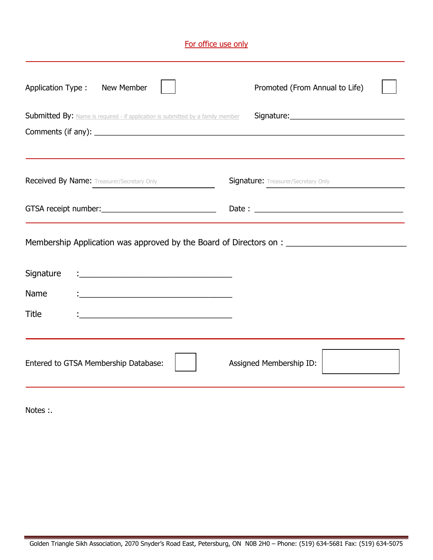| For office use only                                                                                  |                                                                                                                 |                                            |  |  |
|------------------------------------------------------------------------------------------------------|-----------------------------------------------------------------------------------------------------------------|--------------------------------------------|--|--|
| Application Type:                                                                                    | New Member                                                                                                      | Promoted (From Annual to Life)             |  |  |
|                                                                                                      | Submitted By: Name is required - if application is submitted by a family member                                 |                                            |  |  |
|                                                                                                      | <b>Received By Name:</b> Treasurer/Secretary Only                                                               | <b>Signature:</b> Treasurer/Secretary Only |  |  |
|                                                                                                      | GTSA receipt number: University of the state of the state of the state of the state of the state of the state o |                                            |  |  |
| Membership Application was approved by the Board of Directors on : _________________________________ |                                                                                                                 |                                            |  |  |
| Signature                                                                                            | <u> 1989 - Johann Barbara, martxa alemaniar amerikan basar da a</u>                                             |                                            |  |  |
| Name                                                                                                 |                                                                                                                 |                                            |  |  |
| <b>Title</b>                                                                                         |                                                                                                                 |                                            |  |  |
| Entered to GTSA Membership Database:                                                                 |                                                                                                                 | Assigned Membership ID:                    |  |  |

Notes : .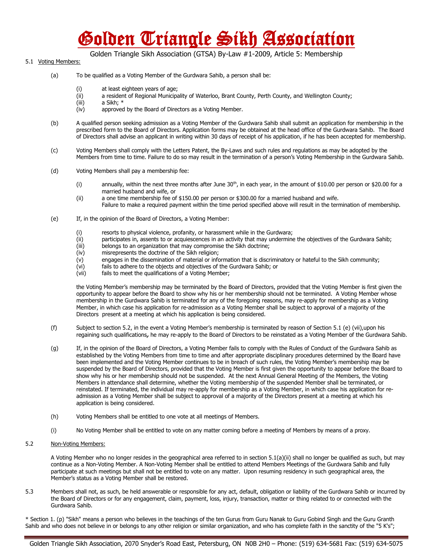## Golden Triangle Sikh Association

Golden Triangle Sikh Association (GTSA) By-Law #1-2009, Article 5: Membership

## 5.1 Voting Members:

- (a) To be qualified as a Voting Member of the Gurdwara Sahib, a person shall be:
	- (i) at least eighteen years of age;
	- (ii) a resident of Regional Municipality of Waterloo, Brant County, Perth County, and Wellington County;
	- (iii) a Sikh; \*
	- (iv) approved by the Board of Directors as a Voting Member.
- (b) A qualified person seeking admission as a Voting Member of the Gurdwara Sahib shall submit an application for membership in the prescribed form to the Board of Directors. Application forms may be obtained at the head office of the Gurdwara Sahib. The Board of Directors shall advise an applicant in writing within 30 days of receipt of his application, if he has been accepted for membership.
- (c) Voting Members shall comply with the Letters Patent, the By-Laws and such rules and regulations as may be adopted by the Members from time to time. Failure to do so may result in the termination of a person's Voting Membership in the Gurdwara Sahib.
- (d) Voting Members shall pay a membership fee:
	- (i) annually, within the next three months after June  $30<sup>th</sup>$ , in each year, in the amount of \$10.00 per person or \$20.00 for a married husband and wife, or
	- (ii) a one time membership fee of \$150.00 per person or \$300.00 for a married husband and wife. Failure to make a required payment within the time period specified above will result in the termination of membership.
- (e) If, in the opinion of the Board of Directors, a Voting Member:
	- (i) resorts to physical violence, profanity, or harassment while in the Gurdwara;
	- (ii) participates in, assents to or acquiescences in an activity that may undermine the objectives of the Gurdwara Sahib;
	- (iii) belongs to an organization that may compromise the Sikh doctrine;
	-
	- (iv) misrepresents the doctrine of the Sikh religion;<br>(v) engages in the dissemination of material or info engages in the dissemination of material or information that is discriminatory or hateful to the Sikh community;
	- (vi) fails to adhere to the objects and objectives of the Gurdwara Sahib; or
	- (vii) fails to meet the qualifications of a Voting Member;

the Voting Member's membership may be terminated by the Board of Directors, provided that the Voting Member is first given the opportunity to appear before the Board to show why his or her membership should not be terminated. A Voting Member whose membership in the Gurdwara Sahib is terminated for any of the foregoing reasons, may re-apply for membership as a Voting Member, in which case his application for re-admission as a Voting Member shall be subject to approval of a majority of the Directors present at a meeting at which his application is being considered.

- (f) Subject to section 5.2, in the event a Voting Member's membership is terminated by reason of Section 5.1 (e) (vii),upon his regaining such qualifications**,** he may re-apply to the Board of Directors to be reinstated as a Voting Member of the Gurdwara Sahib.
- (g) If, in the opinion of the Board of Directors, a Voting Member fails to comply with the Rules of Conduct of the Gurdwara Sahib as established by the Voting Members from time to time and after appropriate disciplinary procedures determined by the Board have been implemented and the Voting Member continues to be in breach of such rules, the Voting Member's membership may be suspended by the Board of Directors, provided that the Voting Member is first given the opportunity to appear before the Board to show why his or her membership should not be suspended. At the next Annual General Meeting of the Members, the Voting Members in attendance shall determine, whether the Voting membership of the suspended Member shall be terminated, or reinstated. If terminated, the individual may re-apply for membership as a Voting Member, in which case his application for readmission as a Voting Member shall be subject to approval of a majority of the Directors present at a meeting at which his application is being considered.
- (h) Voting Members shall be entitled to one vote at all meetings of Members.
- (i) No Voting Member shall be entitled to vote on any matter coming before a meeting of Members by means of a proxy.
- 5.2 Non-Voting Members:

A Voting Member who no longer resides in the geographical area referred to in section 5.1(a)(ii) shall no longer be qualified as such, but may continue as a Non-Voting Member. A Non-Voting Member shall be entitled to attend Members Meetings of the Gurdwara Sahib and fully participate at such meetings but shall not be entitled to vote on any matter. Upon resuming residency in such geographical area, the Member's status as a Voting Member shall be restored.

5.3 Members shall not, as such, be held answerable or responsible for any act, default, obligation or liability of the Gurdwara Sahib or incurred by the Board of Directors or for any engagement, claim, payment, loss, injury, transaction, matter or thing related to or connected with the Gurdwara Sahib.

\* Section 1. (p) "Sikh" means a person who believes in the teachings of the ten Gurus from Guru Nanak to Guru Gobind Singh and the Guru Granth Sahib and who does not believe in or belongs to any other religion or similar organization, and who has complete faith in the sanctity of the "5 K's";